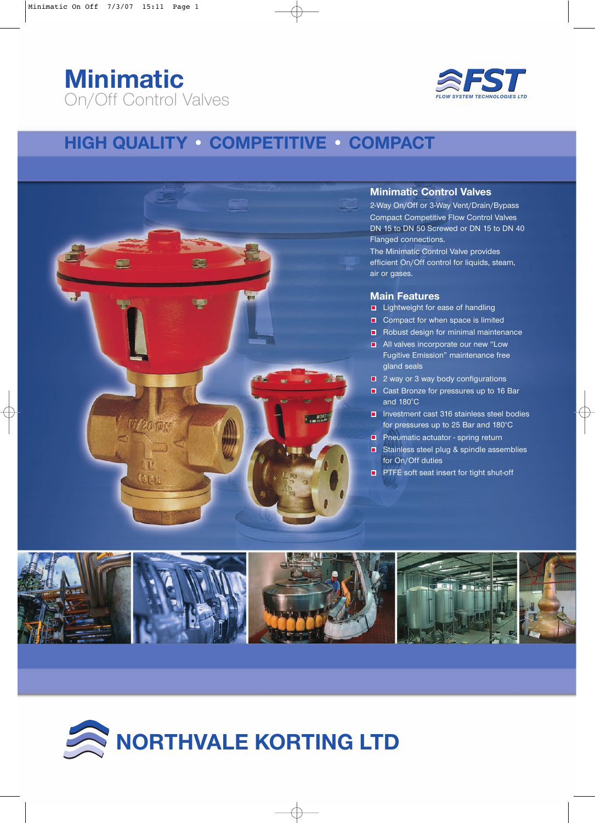## **Minimatic** On/Off Control Valves



### **HIGH QUALITY • COMPETITIVE • COMPACT**



### **Minimatic Control Valves**

2-Way On/Off or 3-Way Vent/Drain/Bypass Compact Competitive Flow Control Valves DN 15 to DN 50 Screwed or DN 15 to DN 40 Flanged connections.

The Minimatic Control Valve provides efficient On/Off control for liquids, steam, air or gases.

#### **Main Features**

- Lightweight for ease of handling
- Compact for when space is limited
- Robust design for minimal maintenance
- **All valves incorporate our new "Low** Fugitive Emission" maintenance free gland seals
- 2 way or 3 way body configurations
- Cast Bronze for pressures up to 16 Bar and  $180^{\circ}$ C
- Investment cast 316 stainless steel bodies for pressures up to 25 Bar and 180°C
- **P** Pneumatic actuator spring return
- $\Box$  Stainless steel plug & spindle assemblies for On/Off duties
- **PTFE** soft seat insert for tight shut-off